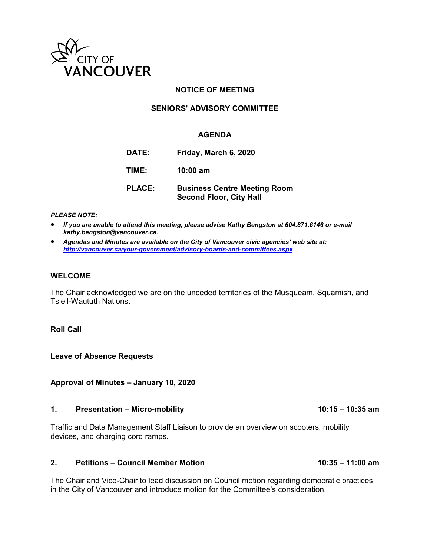

## **NOTICE OF MEETING**

### **SENIORS' ADVISORY COMMITTEE**

### **AGENDA**

| DATE: I       | Friday, March 6, 2020                                                 |
|---------------|-----------------------------------------------------------------------|
| TIME:         | $10:00 \text{ am}$                                                    |
| <b>PLACE:</b> | <b>Business Centre Meeting Room</b><br><b>Second Floor, City Hall</b> |

#### *PLEASE NOTE:*

- *If you are unable to attend this meeting, please advise Kathy Bengston at 604.871.6146 or e-mail kathy.bengston@vancouver.ca.*
- *Agendas and Minutes are available on the City of Vancouver civic agencies' web site at: <http://vancouver.ca/your-government/advisory-boards-and-committees.aspx>*

#### **WELCOME**

The Chair acknowledged we are on the unceded territories of the Musqueam, Squamish, and Tsleil-Waututh Nations.

### **Roll Call**

**Leave of Absence Requests** 

**Approval of Minutes – January 10, 2020** 

#### 1. Presentation – Micro-mobility **10:15 – 10:35 am**

Traffic and Data Management Staff Liaison to provide an overview on scooters, mobility devices, and charging cord ramps.

#### **2. Petitions – Council Member Motion 10:35 – 11:00 am**

The Chair and Vice-Chair to lead discussion on Council motion regarding democratic practices in the City of Vancouver and introduce motion for the Committee's consideration.